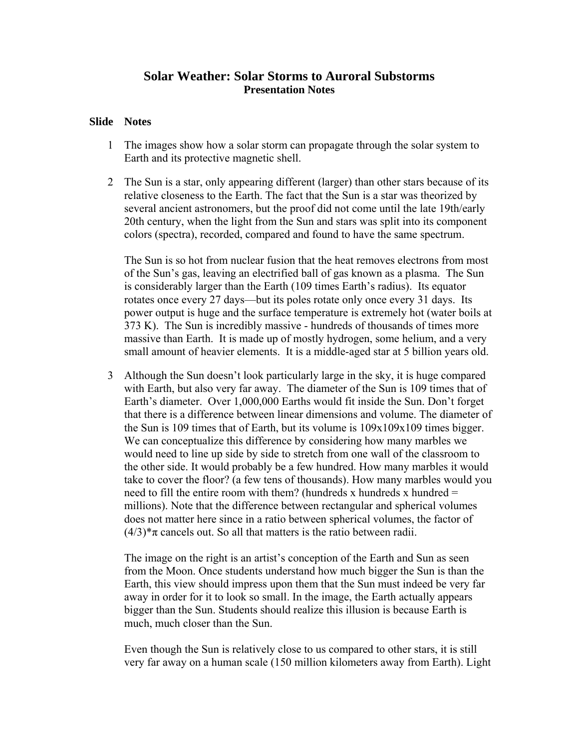## **Solar Weather: Solar Storms to Auroral Substorms Presentation Notes**

## **Slide Notes**

- 1 The images show how a solar storm can propagate through the solar system to Earth and its protective magnetic shell.
- 2 The Sun is a star, only appearing different (larger) than other stars because of its relative closeness to the Earth. The fact that the Sun is a star was theorized by several ancient astronomers, but the proof did not come until the late 19th/early 20th century, when the light from the Sun and stars was split into its component colors (spectra), recorded, compared and found to have the same spectrum.

The Sun is so hot from nuclear fusion that the heat removes electrons from most of the Sun's gas, leaving an electrified ball of gas known as a plasma. The Sun is considerably larger than the Earth (109 times Earth's radius). Its equator rotates once every 27 days—but its poles rotate only once every 31 days. Its power output is huge and the surface temperature is extremely hot (water boils at 373 K). The Sun is incredibly massive - hundreds of thousands of times more massive than Earth. It is made up of mostly hydrogen, some helium, and a very small amount of heavier elements. It is a middle-aged star at 5 billion years old.

3 Although the Sun doesn't look particularly large in the sky, it is huge compared with Earth, but also very far away. The diameter of the Sun is 109 times that of Earth's diameter. Over 1,000,000 Earths would fit inside the Sun. Don't forget that there is a difference between linear dimensions and volume. The diameter of the Sun is 109 times that of Earth, but its volume is 109x109x109 times bigger. We can conceptualize this difference by considering how many marbles we would need to line up side by side to stretch from one wall of the classroom to the other side. It would probably be a few hundred. How many marbles it would take to cover the floor? (a few tens of thousands). How many marbles would you need to fill the entire room with them? (hundreds x hundreds x hundred  $=$ millions). Note that the difference between rectangular and spherical volumes does not matter here since in a ratio between spherical volumes, the factor of  $(4/3)^*\pi$  cancels out. So all that matters is the ratio between radii.

The image on the right is an artist's conception of the Earth and Sun as seen from the Moon. Once students understand how much bigger the Sun is than the Earth, this view should impress upon them that the Sun must indeed be very far away in order for it to look so small. In the image, the Earth actually appears bigger than the Sun. Students should realize this illusion is because Earth is much, much closer than the Sun.

Even though the Sun is relatively close to us compared to other stars, it is still very far away on a human scale (150 million kilometers away from Earth). Light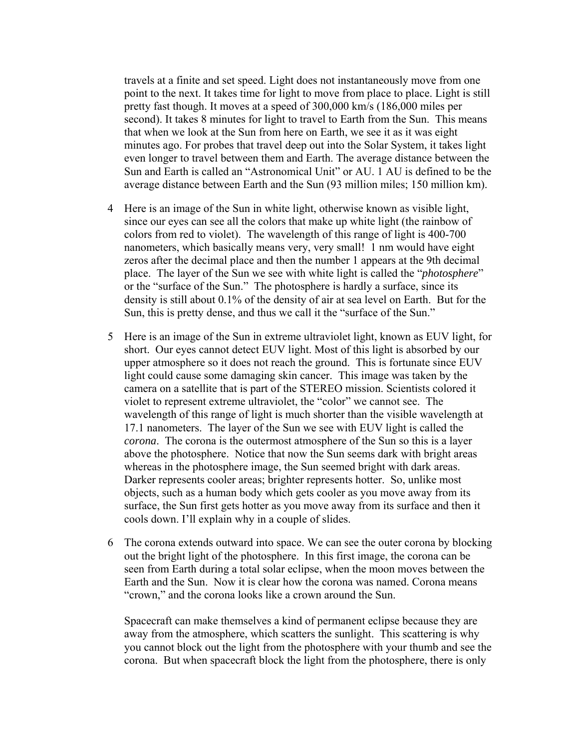travels at a finite and set speed. Light does not instantaneously move from one point to the next. It takes time for light to move from place to place. Light is still pretty fast though. It moves at a speed of 300,000 km/s (186,000 miles per second). It takes 8 minutes for light to travel to Earth from the Sun. This means that when we look at the Sun from here on Earth, we see it as it was eight minutes ago. For probes that travel deep out into the Solar System, it takes light even longer to travel between them and Earth. The average distance between the Sun and Earth is called an "Astronomical Unit" or AU. 1 AU is defined to be the average distance between Earth and the Sun (93 million miles; 150 million km).

- 4 Here is an image of the Sun in white light, otherwise known as visible light, since our eyes can see all the colors that make up white light (the rainbow of colors from red to violet). The wavelength of this range of light is 400-700 nanometers, which basically means very, very small! 1 nm would have eight zeros after the decimal place and then the number 1 appears at the 9th decimal place. The layer of the Sun we see with white light is called the "*photosphere*" or the "surface of the Sun." The photosphere is hardly a surface, since its density is still about 0.1% of the density of air at sea level on Earth. But for the Sun, this is pretty dense, and thus we call it the "surface of the Sun."
- 5 Here is an image of the Sun in extreme ultraviolet light, known as EUV light, for short. Our eyes cannot detect EUV light. Most of this light is absorbed by our upper atmosphere so it does not reach the ground. This is fortunate since EUV light could cause some damaging skin cancer. This image was taken by the camera on a satellite that is part of the STEREO mission. Scientists colored it violet to represent extreme ultraviolet, the "color" we cannot see. The wavelength of this range of light is much shorter than the visible wavelength at 17.1 nanometers. The layer of the Sun we see with EUV light is called the *corona*. The corona is the outermost atmosphere of the Sun so this is a layer above the photosphere. Notice that now the Sun seems dark with bright areas whereas in the photosphere image, the Sun seemed bright with dark areas. Darker represents cooler areas; brighter represents hotter. So, unlike most objects, such as a human body which gets cooler as you move away from its surface, the Sun first gets hotter as you move away from its surface and then it cools down. I'll explain why in a couple of slides.
- 6 The corona extends outward into space. We can see the outer corona by blocking out the bright light of the photosphere. In this first image, the corona can be seen from Earth during a total solar eclipse, when the moon moves between the Earth and the Sun. Now it is clear how the corona was named. Corona means "crown," and the corona looks like a crown around the Sun.

Spacecraft can make themselves a kind of permanent eclipse because they are away from the atmosphere, which scatters the sunlight. This scattering is why you cannot block out the light from the photosphere with your thumb and see the corona. But when spacecraft block the light from the photosphere, there is only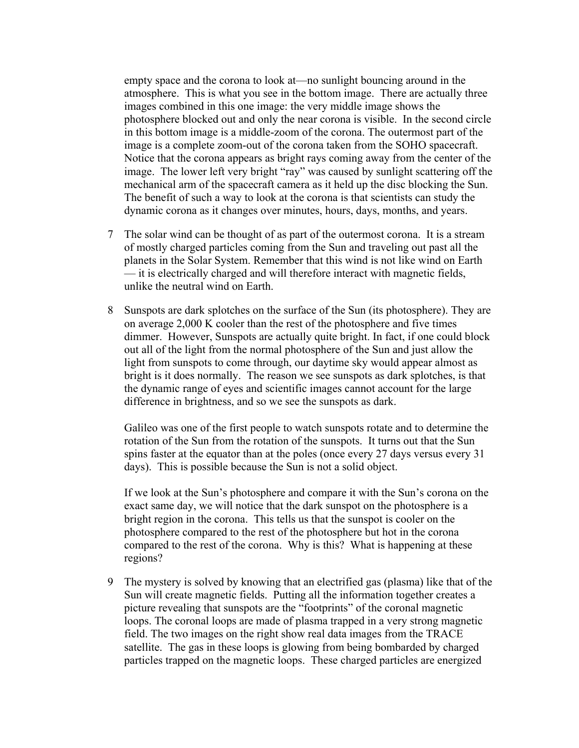empty space and the corona to look at—no sunlight bouncing around in the atmosphere. This is what you see in the bottom image. There are actually three images combined in this one image: the very middle image shows the photosphere blocked out and only the near corona is visible. In the second circle in this bottom image is a middle-zoom of the corona. The outermost part of the image is a complete zoom-out of the corona taken from the SOHO spacecraft. Notice that the corona appears as bright rays coming away from the center of the image. The lower left very bright "ray" was caused by sunlight scattering off the mechanical arm of the spacecraft camera as it held up the disc blocking the Sun. The benefit of such a way to look at the corona is that scientists can study the dynamic corona as it changes over minutes, hours, days, months, and years.

- 7 The solar wind can be thought of as part of the outermost corona. It is a stream of mostly charged particles coming from the Sun and traveling out past all the planets in the Solar System. Remember that this wind is not like wind on Earth — it is electrically charged and will therefore interact with magnetic fields, unlike the neutral wind on Earth.
- 8 Sunspots are dark splotches on the surface of the Sun (its photosphere). They are on average 2,000 K cooler than the rest of the photosphere and five times dimmer. However, Sunspots are actually quite bright. In fact, if one could block out all of the light from the normal photosphere of the Sun and just allow the light from sunspots to come through, our daytime sky would appear almost as bright is it does normally. The reason we see sunspots as dark splotches, is that the dynamic range of eyes and scientific images cannot account for the large difference in brightness, and so we see the sunspots as dark.

Galileo was one of the first people to watch sunspots rotate and to determine the rotation of the Sun from the rotation of the sunspots. It turns out that the Sun spins faster at the equator than at the poles (once every 27 days versus every 31 days). This is possible because the Sun is not a solid object.

If we look at the Sun's photosphere and compare it with the Sun's corona on the exact same day, we will notice that the dark sunspot on the photosphere is a bright region in the corona. This tells us that the sunspot is cooler on the photosphere compared to the rest of the photosphere but hot in the corona compared to the rest of the corona. Why is this? What is happening at these regions?

9 The mystery is solved by knowing that an electrified gas (plasma) like that of the Sun will create magnetic fields. Putting all the information together creates a picture revealing that sunspots are the "footprints" of the coronal magnetic loops. The coronal loops are made of plasma trapped in a very strong magnetic field. The two images on the right show real data images from the TRACE satellite. The gas in these loops is glowing from being bombarded by charged particles trapped on the magnetic loops. These charged particles are energized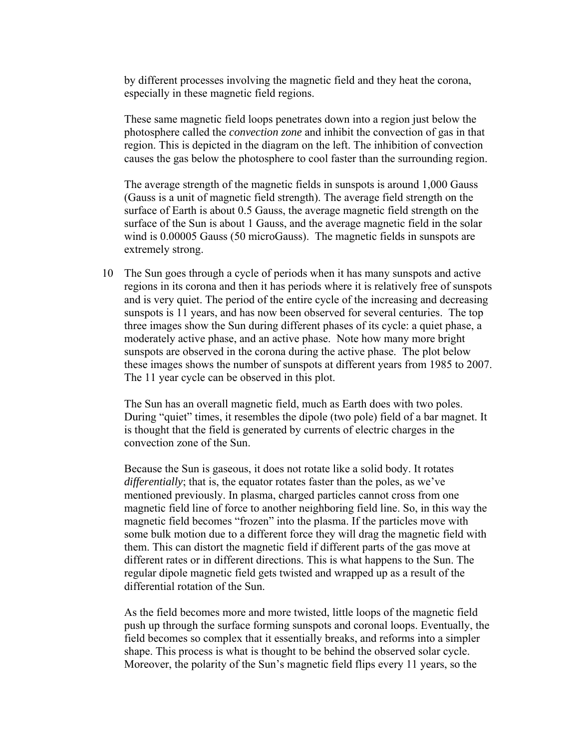by different processes involving the magnetic field and they heat the corona, especially in these magnetic field regions.

These same magnetic field loops penetrates down into a region just below the photosphere called the *convection zone* and inhibit the convection of gas in that region. This is depicted in the diagram on the left. The inhibition of convection causes the gas below the photosphere to cool faster than the surrounding region.

The average strength of the magnetic fields in sunspots is around 1,000 Gauss (Gauss is a unit of magnetic field strength). The average field strength on the surface of Earth is about 0.5 Gauss, the average magnetic field strength on the surface of the Sun is about 1 Gauss, and the average magnetic field in the solar wind is 0.00005 Gauss (50 microGauss). The magnetic fields in sunspots are extremely strong.

10 The Sun goes through a cycle of periods when it has many sunspots and active regions in its corona and then it has periods where it is relatively free of sunspots and is very quiet. The period of the entire cycle of the increasing and decreasing sunspots is 11 years, and has now been observed for several centuries. The top three images show the Sun during different phases of its cycle: a quiet phase, a moderately active phase, and an active phase. Note how many more bright sunspots are observed in the corona during the active phase. The plot below these images shows the number of sunspots at different years from 1985 to 2007. The 11 year cycle can be observed in this plot.

The Sun has an overall magnetic field, much as Earth does with two poles. During "quiet" times, it resembles the dipole (two pole) field of a bar magnet. It is thought that the field is generated by currents of electric charges in the convection zone of the Sun.

Because the Sun is gaseous, it does not rotate like a solid body. It rotates *differentially*; that is, the equator rotates faster than the poles, as we've mentioned previously. In plasma, charged particles cannot cross from one magnetic field line of force to another neighboring field line. So, in this way the magnetic field becomes "frozen" into the plasma. If the particles move with some bulk motion due to a different force they will drag the magnetic field with them. This can distort the magnetic field if different parts of the gas move at different rates or in different directions. This is what happens to the Sun. The regular dipole magnetic field gets twisted and wrapped up as a result of the differential rotation of the Sun.

As the field becomes more and more twisted, little loops of the magnetic field push up through the surface forming sunspots and coronal loops. Eventually, the field becomes so complex that it essentially breaks, and reforms into a simpler shape. This process is what is thought to be behind the observed solar cycle. Moreover, the polarity of the Sun's magnetic field flips every 11 years, so the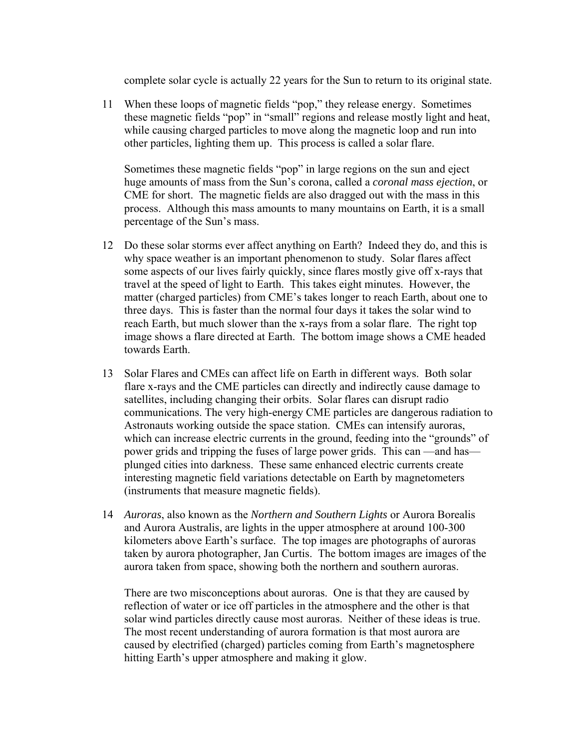complete solar cycle is actually 22 years for the Sun to return to its original state.

11 When these loops of magnetic fields "pop," they release energy. Sometimes these magnetic fields "pop" in "small" regions and release mostly light and heat, while causing charged particles to move along the magnetic loop and run into other particles, lighting them up. This process is called a solar flare.

Sometimes these magnetic fields "pop" in large regions on the sun and eject huge amounts of mass from the Sun's corona, called a *coronal mass ejection*, or CME for short. The magnetic fields are also dragged out with the mass in this process. Although this mass amounts to many mountains on Earth, it is a small percentage of the Sun's mass.

- 12 Do these solar storms ever affect anything on Earth? Indeed they do, and this is why space weather is an important phenomenon to study. Solar flares affect some aspects of our lives fairly quickly, since flares mostly give off x-rays that travel at the speed of light to Earth. This takes eight minutes. However, the matter (charged particles) from CME's takes longer to reach Earth, about one to three days. This is faster than the normal four days it takes the solar wind to reach Earth, but much slower than the x-rays from a solar flare. The right top image shows a flare directed at Earth. The bottom image shows a CME headed towards Earth.
- 13 Solar Flares and CMEs can affect life on Earth in different ways. Both solar flare x-rays and the CME particles can directly and indirectly cause damage to satellites, including changing their orbits. Solar flares can disrupt radio communications. The very high-energy CME particles are dangerous radiation to Astronauts working outside the space station. CMEs can intensify auroras, which can increase electric currents in the ground, feeding into the "grounds" of power grids and tripping the fuses of large power grids. This can —and has plunged cities into darkness. These same enhanced electric currents create interesting magnetic field variations detectable on Earth by magnetometers (instruments that measure magnetic fields).
- 14 *Auroras*, also known as the *Northern and Southern Lights* or Aurora Borealis and Aurora Australis, are lights in the upper atmosphere at around 100-300 kilometers above Earth's surface. The top images are photographs of auroras taken by aurora photographer, Jan Curtis. The bottom images are images of the aurora taken from space, showing both the northern and southern auroras.

There are two misconceptions about auroras. One is that they are caused by reflection of water or ice off particles in the atmosphere and the other is that solar wind particles directly cause most auroras. Neither of these ideas is true. The most recent understanding of aurora formation is that most aurora are caused by electrified (charged) particles coming from Earth's magnetosphere hitting Earth's upper atmosphere and making it glow.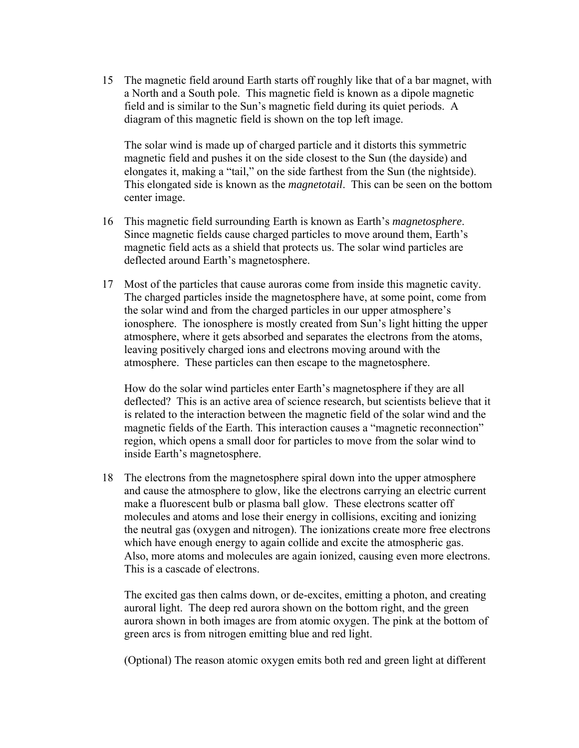15 The magnetic field around Earth starts off roughly like that of a bar magnet, with a North and a South pole. This magnetic field is known as a dipole magnetic field and is similar to the Sun's magnetic field during its quiet periods. A diagram of this magnetic field is shown on the top left image.

The solar wind is made up of charged particle and it distorts this symmetric magnetic field and pushes it on the side closest to the Sun (the dayside) and elongates it, making a "tail," on the side farthest from the Sun (the nightside). This elongated side is known as the *magnetotail*. This can be seen on the bottom center image.

- 16 This magnetic field surrounding Earth is known as Earth's *magnetosphere*. Since magnetic fields cause charged particles to move around them, Earth's magnetic field acts as a shield that protects us. The solar wind particles are deflected around Earth's magnetosphere.
- 17 Most of the particles that cause auroras come from inside this magnetic cavity. The charged particles inside the magnetosphere have, at some point, come from the solar wind and from the charged particles in our upper atmosphere's ionosphere. The ionosphere is mostly created from Sun's light hitting the upper atmosphere, where it gets absorbed and separates the electrons from the atoms, leaving positively charged ions and electrons moving around with the atmosphere. These particles can then escape to the magnetosphere.

How do the solar wind particles enter Earth's magnetosphere if they are all deflected? This is an active area of science research, but scientists believe that it is related to the interaction between the magnetic field of the solar wind and the magnetic fields of the Earth. This interaction causes a "magnetic reconnection" region, which opens a small door for particles to move from the solar wind to inside Earth's magnetosphere.

18 The electrons from the magnetosphere spiral down into the upper atmosphere and cause the atmosphere to glow, like the electrons carrying an electric current make a fluorescent bulb or plasma ball glow. These electrons scatter off molecules and atoms and lose their energy in collisions, exciting and ionizing the neutral gas (oxygen and nitrogen). The ionizations create more free electrons which have enough energy to again collide and excite the atmospheric gas. Also, more atoms and molecules are again ionized, causing even more electrons. This is a cascade of electrons.

The excited gas then calms down, or de-excites, emitting a photon, and creating auroral light. The deep red aurora shown on the bottom right, and the green aurora shown in both images are from atomic oxygen. The pink at the bottom of green arcs is from nitrogen emitting blue and red light.

(Optional) The reason atomic oxygen emits both red and green light at different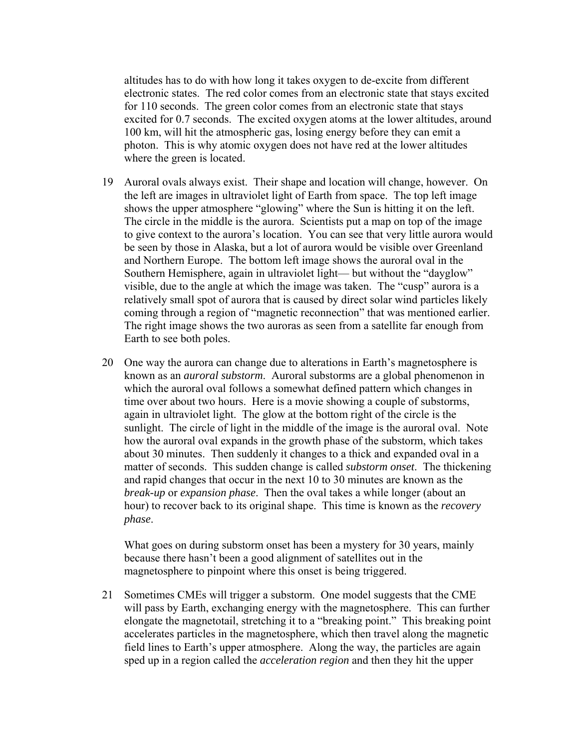altitudes has to do with how long it takes oxygen to de-excite from different electronic states. The red color comes from an electronic state that stays excited for 110 seconds. The green color comes from an electronic state that stays excited for 0.7 seconds. The excited oxygen atoms at the lower altitudes, around 100 km, will hit the atmospheric gas, losing energy before they can emit a photon. This is why atomic oxygen does not have red at the lower altitudes where the green is located.

- 19 Auroral ovals always exist. Their shape and location will change, however. On the left are images in ultraviolet light of Earth from space. The top left image shows the upper atmosphere "glowing" where the Sun is hitting it on the left. The circle in the middle is the aurora. Scientists put a map on top of the image to give context to the aurora's location. You can see that very little aurora would be seen by those in Alaska, but a lot of aurora would be visible over Greenland and Northern Europe. The bottom left image shows the auroral oval in the Southern Hemisphere, again in ultraviolet light— but without the "dayglow" visible, due to the angle at which the image was taken. The "cusp" aurora is a relatively small spot of aurora that is caused by direct solar wind particles likely coming through a region of "magnetic reconnection" that was mentioned earlier. The right image shows the two auroras as seen from a satellite far enough from Earth to see both poles.
- 20 One way the aurora can change due to alterations in Earth's magnetosphere is known as an *auroral substorm*. Auroral substorms are a global phenomenon in which the auroral oval follows a somewhat defined pattern which changes in time over about two hours. Here is a movie showing a couple of substorms, again in ultraviolet light. The glow at the bottom right of the circle is the sunlight. The circle of light in the middle of the image is the auroral oval. Note how the auroral oval expands in the growth phase of the substorm, which takes about 30 minutes. Then suddenly it changes to a thick and expanded oval in a matter of seconds. This sudden change is called *substorm onset*. The thickening and rapid changes that occur in the next 10 to 30 minutes are known as the *break-up* or *expansion phase*. Then the oval takes a while longer (about an hour) to recover back to its original shape. This time is known as the *recovery phase*.

What goes on during substorm onset has been a mystery for 30 years, mainly because there hasn't been a good alignment of satellites out in the magnetosphere to pinpoint where this onset is being triggered.

21 Sometimes CMEs will trigger a substorm. One model suggests that the CME will pass by Earth, exchanging energy with the magnetosphere. This can further elongate the magnetotail, stretching it to a "breaking point." This breaking point accelerates particles in the magnetosphere, which then travel along the magnetic field lines to Earth's upper atmosphere. Along the way, the particles are again sped up in a region called the *acceleration region* and then they hit the upper